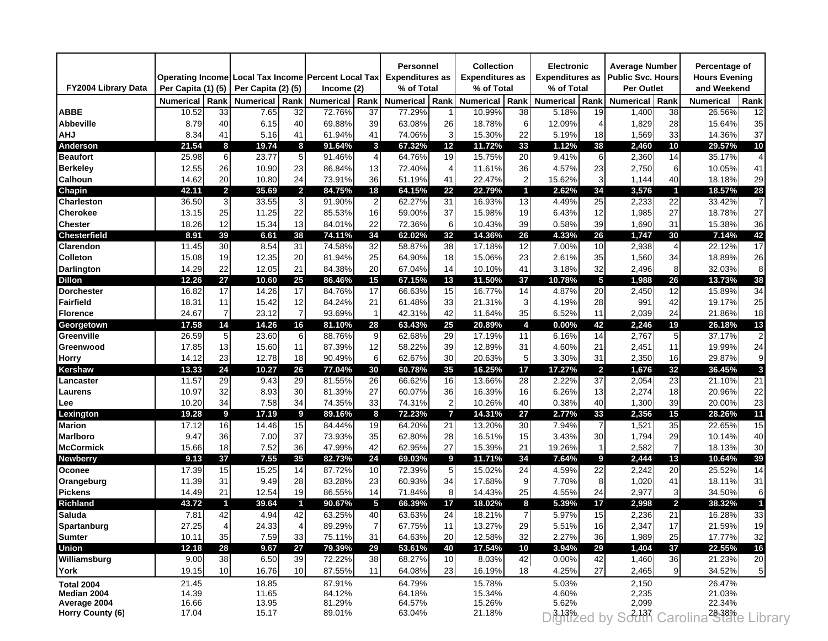|                            |                    |                 | Operating Income Local Tax Income Percent Local Tax |                 |                  |                | Personnel<br><b>Expenditures as</b> |                | <b>Collection</b><br><b>Expenditures as</b> |      | <b>Electronic</b><br><b>Expenditures as</b> |                | <b>Average Number</b><br><b>Public Svc. Hours</b> |                | Percentage of<br><b>Hours Evening</b> |                |
|----------------------------|--------------------|-----------------|-----------------------------------------------------|-----------------|------------------|----------------|-------------------------------------|----------------|---------------------------------------------|------|---------------------------------------------|----------------|---------------------------------------------------|----------------|---------------------------------------|----------------|
| <b>FY2004 Library Data</b> | Per Capita (1) (5) |                 | Per Capita (2) (5)                                  |                 | Income (2)       |                | % of Total                          |                | % of Total                                  |      | % of Total                                  |                | Per Outlet                                        |                | and Weekend                           |                |
|                            | <b>Numerical</b>   | Rank            | <b>Numerical</b>                                    | Rank            | <b>Numerical</b> | Rank           | <b>Numerical</b>                    | Rank           | Numerical                                   | Rank | <b>Numerical</b>                            | Rank           | Numerical                                         | Rank           | <b>Numerical</b>                      | Rank           |
| <b>ABBE</b>                | 10.52              | 33              | 7.65                                                | 32              | 72.76%           | 37             | 77.29%                              |                | 10.99%                                      | 38   | 5.18%                                       | 19             | 1,400                                             | 38             | 26.56%                                | 12             |
| <b>Abbeville</b>           | 8.79               | 40              | 6.15                                                | 40              | 69.88%           | 39             | 63.08%                              | 26             | 18.78%                                      | 6    | 12.09%                                      | 4              | 1,829                                             | 28             | 15.64%                                | 35             |
| AHJ                        | 8.34               | 41              | 5.16                                                | 41              | 61.94%           | 41             | 74.06%                              | 3              | 15.30%                                      | 22   | 5.19%                                       | 18             | 1,569                                             | 33             | 14.36%                                | 37             |
| Anderson                   | 21.54              | 8               | 19.74                                               | 8               | 91.64%           | 3              | 67.32%                              | 12             | 11.72%                                      | 33   | 1.12%                                       | 38             | 2,460                                             | 10             | 29.57%                                | 10             |
| <b>Beaufort</b>            | 25.98              | 6               | 23.77                                               | 5 <sub>l</sub>  | 91.46%           | $\overline{4}$ | 64.76%                              | 19             | 15.75%                                      | 20   | 9.41%                                       | 6              | 2,360                                             | 14             | 35.17%                                |                |
| <b>Berkeley</b>            | 12.55              | 26              | 10.90                                               | 23              | 86.84%           | 13             | 72.40%                              | $\overline{4}$ | 11.61%                                      | 36   | 4.57%                                       | 23             | 2,750                                             | 6              | 10.05%                                | 41             |
| <b>Calhoun</b>             | 14.62              | 20              | 10.80                                               | 24              | 73.91%           | 36             | 51.19%                              | 41             | 22.47%                                      | 2    | 15.62%                                      | 3              | 1,144                                             | 40             | 18.18%                                | 29             |
| Chapin                     | 42.11              | $\overline{2}$  | 35.69                                               | $\mathbf{2}$    | 84.75%           | 18             | 64.15%                              | 22             | 22.79%                                      | 1    | 2.62%                                       | 34             | 3,576                                             | $\blacksquare$ | 18.57%                                | 28             |
| Charleston                 | 36.50              | 3               | 33.55                                               | 3 <sup>l</sup>  | 91.90%           | $\overline{c}$ | 62.27%                              | 31             | 16.93%                                      | 13   | 4.49%                                       | 25             | 2,233                                             | 22             | 33.42%                                |                |
| Cherokee                   | 13.15              | 25              | 11.25                                               | 22              | 85.53%           | 16             | 59.00%                              | 37             | 15.98%                                      | 19   | 6.43%                                       | 12             | 1,985                                             | 27             | 18.78%                                | 27             |
| Chester                    | 18.26              | 12              | 15.34                                               | 13              | 84.01%           | 22             | 72.36%                              | 6              | 10.43%                                      | 39   | 0.58%                                       | 39             | 1,690                                             | 31             | 15.38%                                | 36             |
| Chesterfield               | 8.91               | 39              | 6.61                                                | 38              | 74.11%           | 34             | 62.02%                              | 32             | 14.36%                                      | 26   | 4.33%                                       | 26             | 1,747                                             | 30             | 7.14%                                 | 42             |
| Clarendon                  | 11.45              | 30              | 8.54                                                | 31              | 74.58%           | 32             | 58.87%                              | 38             | 17.18%                                      | 12   | 7.00%                                       | 10             | 2,938                                             | $\overline{4}$ | 22.12%                                | 17             |
| <b>Colleton</b>            | 15.08              | 19              | 12.35                                               | 20              | 81.94%           | 25             | 64.90%                              | 18             | 15.06%                                      | 23   | 2.61%                                       | 35             | 1,560                                             | 34             | 18.89%                                | 26             |
| <b>Darlington</b>          | 14.29              | 22              | 12.05                                               | 21              | 84.38%           | 20             | 67.04%                              | 14             | 10.10%                                      | 41   | 3.18%                                       | 32             | 2,496                                             | 8              | 32.03%                                |                |
| <b>Dillon</b>              | 12.26              | 27              | 10.60                                               | 25              | 86.46%           | 15             | 67.15%                              | 13             | 11.50%                                      | 37   | 10.78%                                      | 5              | 1,988                                             | 26             | 13.73%                                | 38             |
| <b>Dorchester</b>          | 16.82              | 17              | 14.26                                               | 17              | 84.76%           | 17             | 66.63%                              | 15             | 16.77%                                      | 14   | 4.87%                                       | 20             | 2,450                                             | 12             | 15.89%                                | 34             |
| Fairfield                  | 18.31              | 11              | 15.42                                               | 12              | 84.24%           | 21             | 61.48%                              | 33             | 21.31%                                      | 3    | 4.19%                                       | 28             | 991                                               | 42             | 19.17%                                | 25             |
| <b>Florence</b>            | 24.67              | 7               | 23.12                                               | $\overline{7}$  | 93.69%           | $\mathbf{1}$   | 42.31%                              | 42             | 11.64%                                      | 35   | 6.52%                                       | 11             | 2,039                                             | 24             | 21.86%                                | 18             |
| Georgetown                 | 17.58              | 14              | 14.26                                               | 16              | 81.10%           | 28             | 63.43%                              | 25             | 20.89%                                      | 4    | 0.00%                                       | 42             | 2,246                                             | 19             | 26.18%                                | 13             |
| Greenville                 | 26.59              | 5               | 23.60                                               | 6               | 88.76%           | 9              | 62.68%                              | 29             | 17.19%                                      | 11   | 6.16%                                       | 14             | 2,767                                             | 5              | 37.17%                                |                |
| Greenwood                  | 17.85              | 13              | 15.60                                               | 11              | 87.39%           | 12             | 58.22%                              | 39             | 12.89%                                      | 31   | 4.60%                                       | 21             | 2,451                                             | 11             | 19.99%                                | 24             |
| Horry                      | 14.12              | 23              | 12.78                                               | 18              | 90.49%           | 6              | 62.67%                              | 30             | 20.63%                                      | 5    | 3.30%                                       | 31             | 2,350                                             | 16             | 29.87%                                | g              |
| Kershaw                    | 13.33              | 24              | 10.27                                               | 26              | 77.04%           | 30             | 60.78%                              | 35             | 16.25%                                      | 17   | 17.27%                                      | $\overline{2}$ | 1,676                                             | 32             | 36.45%                                | 3              |
| Lancaster                  | 11.57              | 29              | 9.43                                                | 29              | 81.55%           | 26             | 66.62%                              | 16             | 13.66%                                      | 28   | 2.22%                                       | 37             | 2,054                                             | 23             | 21.10%                                | 21             |
| Laurens                    | 10.97              | 32              | 8.93                                                | 30              | 81.39%           | 27             | 60.07%                              | 36             | 16.39%                                      | 16   | 6.26%                                       | 13             | 2,274                                             | 18             | 20.96%                                | 22             |
| Lee                        | 10.20              | 34              | 7.58                                                | 34              | 74.35%           | 33             | 74.31%                              | $\overline{2}$ | 10.26%                                      | 40   | 0.38%                                       | 40             | 1,300                                             | 39             | 20.00%                                | 23             |
| Lexington                  | 19.28              | 9               | 17.19                                               | 9               | 89.16%           | 8              | 72.23%                              | 7              | 14.31%                                      | 27   | 2.77%                                       | 33             | 2,356                                             | 15             | 28.26%                                | 11             |
| <b>Marion</b>              | 17.12              | 16              | 14.46                                               | 15              | 84.44%           | 19             | 64.20%                              | 21             | 13.20%                                      | 30   | 7.94%                                       | $\overline{7}$ | 1,521                                             | 35             | 22.65%                                | 15             |
| <b>Marlboro</b>            | 9.47               | 36              | 7.00                                                | 37              | 73.93%           | 35             | 62.80%                              | 28             | 16.51%                                      | 15   | 3.43%                                       | 30             | 1,794                                             | 29             | 10.14%                                | 40             |
| <b>McCormick</b>           | 15.66              | 18              | 7.52                                                | 36              | 47.99%           | 42             | 62.95%                              | 27             | 15.39%                                      | 21   | 19.26%                                      | $\mathbf{1}$   | 2,582                                             | $\overline{7}$ | 18.13%                                | 30             |
| <b>Newberry</b>            | 9.13               | 37              | 7.55                                                | 35              | 82.73%           | 24             | 69.03%                              | 9              | 11.71%                                      | 34   | 7.64%                                       | 9              | 2,444                                             | 13             | 10.64%                                | 39             |
| Oconee                     | 17.39              | 15              | 15.25                                               | 14              | 87.72%           | 10             | 72.39%                              | 5              | 15.02%                                      | 24   | 4.59%                                       | 22             | 2,242                                             | 20             | 25.52%                                | 14             |
| Orangeburg                 | 11.39              | 31              | 9.49                                                | 28              | 83.28%           | 23             | 60.93%                              | 34             | 17.68%                                      | 9    | 7.70%                                       | 8              | 1,020                                             | 41             | 18.11%                                | 31             |
| <b>Pickens</b>             | 14.49              | 21              | 12.54                                               | 19              | 86.55%           | 14             | 71.84%                              | 8              | 14.43%                                      | 25   | 4.55%                                       | 24             | 2,977                                             | 3              | 34.50%                                |                |
| <b>Richland</b>            | 43.72              | 1               | 39.64                                               | 1               | 90.67%           | 5              | 66.39%                              | 17             | 18.02%                                      | 8    | 5.39%                                       | 17             | 2,998                                             | $\overline{2}$ | 38.32%                                |                |
| <b>Saluda</b>              | 7.81               | 42              | 4.94                                                | 42              | 63.25%           | 40             | 63.63%                              | 24             | 18.21%                                      |      | 5.97%                                       | 15             | 2,236                                             | 21             | 16.28%                                | 33             |
| <b>Spartanburg</b>         | 27.25              | 4               | 24.33                                               | 4               | 89.29%           | $\prime$       | 67.75%                              | 11             | 13.27%                                      | 29   | 5.51%                                       | 16             | 2,347                                             | 17             | 21.59%                                | 19             |
| <b>Sumter</b>              | 10.11              | 35              | 7.59                                                | 33              | 75.11%           | 31             | 64.63%                              | 20             | 12.58%                                      | 32   | 2.27%                                       | 36             | 1,989                                             | 25             | 17.77%                                | 32             |
| <b>Union</b>               | 12.18              | 28              | 9.67                                                | 27              | 79.39%           | 29             | 53.61%                              | 40             | 17.54%                                      | 10   | 3.94%                                       | 29             | 1,404                                             | 37             | 22.55%                                | 16             |
| Williamsburg               | 9.00               | 38              | 6.50                                                | 39              | 72.22%           | 38             | 68.27%                              | 10             | 8.03%                                       | 42   | 0.00%                                       | 42             | 1,460                                             | 36             | 21.23%                                | 20             |
| York                       | 19.15              | 10 <sup>1</sup> | 16.76                                               | 10 <sup>1</sup> | 87.55%           | 11             | 64.08%                              | 23             | 16.19%                                      | 18   | 4.25%                                       | 27             | 2,465                                             | 9              | 34.52%                                | 5 <sub>l</sub> |
| <b>Total 2004</b>          | 21.45              |                 | 18.85                                               |                 | 87.91%           |                | 64.79%                              |                | 15.78%                                      |      | 5.03%                                       |                | 2,150                                             |                | 26.47%                                |                |
| Median 2004                | 14.39              |                 | 11.65                                               |                 | 84.12%           |                | 64.18%                              |                | 15.34%                                      |      | 4.60%                                       |                | 2,235                                             |                | 21.03%                                |                |
| Average 2004               | 16.66              |                 | 13.95                                               |                 | 81.29%           |                | 64.57%                              |                | 15.26%                                      |      | 5.62%                                       |                | 2,099                                             |                | 22.34%                                |                |
| Horry County (6)           | 17.04              |                 | 15.17                                               |                 | 89.01%           |                | 63.04%                              |                | 21.18%                                      |      | Digitized by                                |                | South                                             |                | Carolina <sup>28,38%</sup> Library    |                |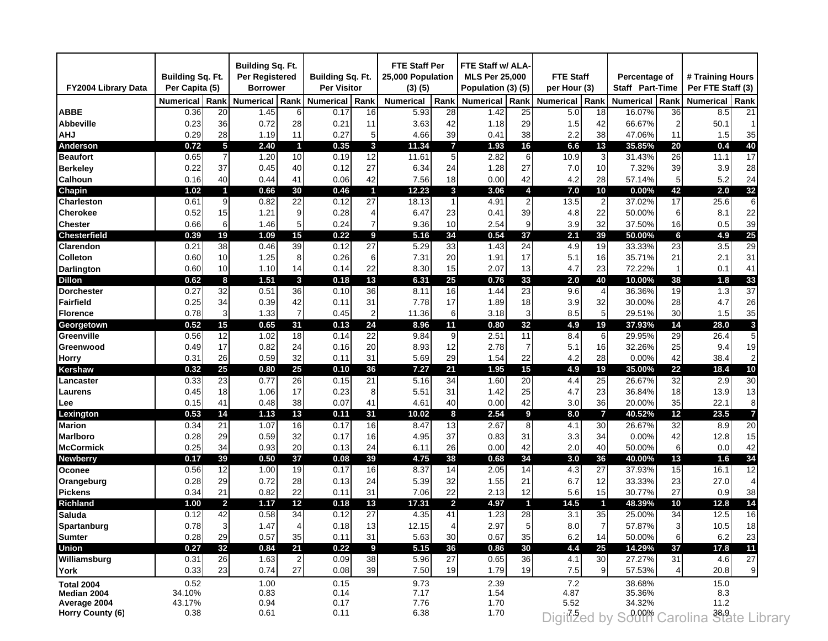| FY2004 Library Data | <b>Building Sq. Ft.</b><br>Per Capita (5) |                | Building Sq. Ft.<br>Per Registered<br><b>Borrower</b> |                         | Building Sq. Ft.<br><b>Per Visitor</b> |                | <b>FTE Staff Per</b><br>25,000 Population<br>(3)(5) |                 | FTE Staff w/ ALA-<br><b>MLS Per 25,000</b><br>Population (3) (5) |                         | <b>FTE Staff</b><br>per Hour (3) |                 | Percentage of<br><b>Staff Part-Time</b> |                | # Training Hours<br>Per FTE Staff (3)      |      |
|---------------------|-------------------------------------------|----------------|-------------------------------------------------------|-------------------------|----------------------------------------|----------------|-----------------------------------------------------|-----------------|------------------------------------------------------------------|-------------------------|----------------------------------|-----------------|-----------------------------------------|----------------|--------------------------------------------|------|
|                     | <b>Numerical</b>                          | Rank           | <b>Numerical</b>                                      | Rank                    | <b>Numerical</b>                       | Rank           | <b>Numerical</b>                                    | Rank            | <b>Numerical</b>                                                 | Rank                    | <b>Numerical</b>                 | Rank            | <b>Numerical</b>                        | Rank           | <b>Numerical</b>                           | Rank |
| <b>ABBE</b>         | 0.36                                      | 20             | 1.45                                                  | 6                       | 0.17                                   | 16             | 5.93                                                | 28              | 1.42                                                             | 25                      | 5.0                              | 18              | 16.07%                                  | 36             | 8.5                                        | 21   |
| <b>Abbeville</b>    | 0.23                                      | 36             | 0.72                                                  | 28                      | 0.21                                   | 11             | 3.63                                                | 42              | 1.18                                                             | 29                      | 1.5                              | 42              | 66.67%                                  | $\overline{2}$ | 50.1                                       |      |
| <b>AHJ</b>          | 0.29                                      | 28             | 1.19                                                  | 11                      | 0.27                                   | 5              | 4.66                                                | 39              | 0.41                                                             | 38                      | 2.2                              | 38              | 47.06%                                  | 11             | 1.5                                        | 35   |
| Anderson            | 0.72                                      | 5              | 2.40                                                  | $\mathbf{1}$            | 0.35                                   | 3              | 11.34                                               | $\overline{7}$  | 1.93                                                             | 16                      | 6.6                              | 13              | 35.85%                                  | 20             | 0.4                                        | 40   |
| <b>Beaufort</b>     | 0.65                                      | $\overline{7}$ | 1.20                                                  | 10                      | 0.19                                   | 12             | 11.61                                               | $5\overline{)}$ | 2.82                                                             | 6                       | 10.9                             | 3               | 31.43%                                  | 26             | 11.1                                       | 17   |
| <b>Berkeley</b>     | 0.22                                      | 37             | 0.45                                                  | 40                      | 0.12                                   | 27             | 6.34                                                | 24              | 1.28                                                             | 27                      | 7.0                              | 10 <sup>1</sup> | 7.32%                                   | 39             | 3.9                                        | 28   |
| <b>Calhoun</b>      | 0.16                                      | 40             | 0.44                                                  | 41                      | 0.06                                   | 42             | 7.56                                                | 18              | 0.00                                                             | 42                      | 4.2                              | 28              | 57.14%                                  | 5              | 5.2                                        | 24   |
| Chapin              | 1.02                                      | $\blacksquare$ | 0.66                                                  | 30                      | 0.46                                   | 1              | 12.23                                               | 3               | 3.06                                                             | 4                       | 7.0                              | 10              | 0.00%                                   | 42             | 2.0                                        | 32   |
| <b>Charleston</b>   | 0.61                                      | 9              | 0.82                                                  | 22                      | 0.12                                   | 27             | 18.13                                               | $\mathbf{1}$    | 4.91                                                             | $\overline{\mathbf{c}}$ | 13.5                             | $\overline{2}$  | 37.02%                                  | 17             | 25.6                                       | 6    |
| <b>Cherokee</b>     | 0.52                                      | 15             | 1.21                                                  | 9                       | 0.28                                   | 4              | 6.47                                                | 23              | 0.41                                                             | 39                      | 4.8                              | 22              | 50.00%                                  | 6              | 8.1                                        | 22   |
| Chester             | 0.66                                      | 6              | 1.46                                                  | 5                       | 0.24                                   | $\overline{7}$ | 9.36                                                | 10              | 2.54                                                             | 9                       | 3.9                              | 32              | 37.50%                                  | 16             | 0.5                                        | 39   |
| <b>Chesterfield</b> | 0.39                                      | 19             | 1.09                                                  | 15                      | 0.22                                   | 9              | 5.16                                                | 34              | 0.54                                                             | 37                      | 2.1                              | 39              | 50.00%                                  | 6              | 4.9                                        | 25   |
| Clarendon           | 0.21                                      | 38             | 0.46                                                  | 39                      | 0.12                                   | 27             | 5.29                                                | 33              | 1.43                                                             | 24                      | 4.9                              | 19              | 33.33%                                  | 23             | 3.5                                        | 29   |
| <b>Colleton</b>     | 0.60                                      | 10             | 1.25                                                  | 8                       | 0.26                                   | 6              | 7.31                                                | 20              | 1.91                                                             | 17                      | 5.1                              | 16              | 35.71%                                  | 21             | 2.1                                        | 31   |
| <b>Darlington</b>   | 0.60                                      | 10             | 1.10                                                  | 14                      | 0.14                                   | 22             | 8.30                                                | 15              | 2.07                                                             | 13                      | 4.7                              | 23              | 72.22%                                  |                | 0.1                                        | 41   |
| Dillon              | 0.62                                      | 8              | 1.51                                                  | $\mathbf{3}$            | 0.18                                   | 13             | 6.31                                                | 25              | 0.76                                                             | 33                      | 2.0                              | 40              | 10.00%                                  | 38             | 1.8                                        | 33   |
| <b>Dorchester</b>   | 0.27                                      | 32             | 0.51                                                  | 36                      | 0.10                                   | 36             | 8.11                                                | 16              | 1.44                                                             | 23                      | 9.6                              | 4               | 36.36%                                  | 19             | 1.3                                        | 37   |
| Fairfield           | 0.25                                      | 34             | 0.39                                                  | 42                      | 0.11                                   | 31             | 7.78                                                | 17              | 1.89                                                             | 18                      | 3.9                              | 32              | 30.00%                                  | 28             | 4.7                                        | 26   |
|                     | 0.78                                      |                | 1.33                                                  | $\overline{7}$          | 0.45                                   |                | 11.36                                               |                 | 3.18                                                             |                         | 8.5                              |                 |                                         |                |                                            | 35   |
| <b>Florence</b>     |                                           | 3              |                                                       | 31                      |                                        | $\overline{2}$ |                                                     | 6               |                                                                  | 3                       |                                  | 5 <sub>5</sub>  | 29.51%                                  | 30             | 1.5                                        | 3    |
| Georgetown          | 0.52                                      | 15             | 0.65                                                  |                         | 0.13                                   | 24             | 8.96                                                | 11              | 0.80                                                             | 32                      | 4.9                              | 19              | 37.93%                                  | 14             | 28.0                                       |      |
| Greenville          | 0.56                                      | 12             | 1.02                                                  | 18                      | 0.14                                   | 22             | 9.84                                                | 9               | 2.51                                                             | 11                      | 8.4                              | 6               | 29.95%                                  | 29             | 26.4                                       | 5    |
| Greenwood           | 0.49                                      | 17             | 0.82                                                  | 24                      | 0.16                                   | 20             | 8.93                                                | 12              | 2.78                                                             | $\overline{7}$          | 5.1                              | 16              | 32.26%                                  | 25             | 9.4                                        | 19   |
| <b>Horry</b>        | 0.31                                      | 26             | 0.59                                                  | 32                      | 0.11                                   | 31             | 5.69                                                | 29              | 1.54                                                             | 22                      | 4.2                              | 28              | 0.00%                                   | 42             | 38.4                                       | 2    |
| <b>Kershaw</b>      | 0.32                                      | 25             | 0.80                                                  | 25                      | 0.10                                   | 36             | 7.27                                                | 21              | 1.95                                                             | 15                      | 4.9                              | 19              | 35.00%                                  | 22             | 18.4                                       | 10   |
| Lancaster           | 0.33                                      | 23             | 0.77                                                  | 26                      | 0.15                                   | 21             | 5.16                                                | 34              | 1.60                                                             | 20                      | 4.4                              | 25              | 26.67%                                  | 32             | 2.9                                        | 30   |
| Laurens             | 0.45                                      | 18             | 1.06                                                  | 17                      | 0.23                                   | 8              | 5.51                                                | 31              | 1.42                                                             | 25                      | 4.7                              | 23              | 36.84%                                  | 18             | 13.9                                       | 13   |
| Lee                 | 0.15                                      | 41             | 0.48                                                  | 38                      | 0.07                                   | 41             | 4.61                                                | 40              | 0.00                                                             | 42                      | 3.0                              | 36              | 20.00%                                  | 35             | 22.1                                       | 8    |
| Lexington           | 0.53                                      | 14             | 1.13                                                  | 13                      | 0.11                                   | 31             | 10.02                                               | 8               | 2.54                                                             | 9                       | 8.0                              | $\overline{7}$  | 40.52%                                  | 12             | 23.5                                       | 7    |
| <b>Marion</b>       | 0.34                                      | 21             | 1.07                                                  | 16                      | 0.17                                   | 16             | 8.47                                                | 13              | 2.67                                                             | 8                       | 4.1                              | 30              | 26.67%                                  | 32             | 8.9                                        | 20   |
| <b>Marlboro</b>     | 0.28                                      | 29             | 0.59                                                  | 32                      | 0.17                                   | 16             | 4.95                                                | 37              | 0.83                                                             | 31                      | 3.3                              | 34              | 0.00%                                   | 42             | 12.8                                       | 15   |
| <b>McCormick</b>    | 0.25                                      | 34             | 0.93                                                  | 20                      | 0.13                                   | 24             | 6.11                                                | 26              | 0.00                                                             | 42                      | 2.0                              | 40              | 50.00%                                  | 6              | 0.0                                        | 42   |
| <b>Newberry</b>     | 0.17                                      | 39             | 0.50                                                  | 37                      | 0.08                                   | 39             | 4.75                                                | 38              | 0.68                                                             | 34                      | 3.0                              | 36              | 40.00%                                  | 13             | 1.6                                        | 34   |
| Oconee              | 0.56                                      | 12             | 1.00                                                  | 19                      | 0.17                                   | 16             | 8.37                                                | 14              | 2.05                                                             | 14                      | 4.3                              | 27              | 37.93%                                  | 15             | 16.1                                       | 12   |
| Orangeburg          | 0.28                                      | 29             | 0.72                                                  | 28                      | 0.13                                   | 24             | 5.39                                                | 32              | 1.55                                                             | 21                      | 6.7                              | 12              | 33.33%                                  | 23             | 27.0                                       | 4    |
| <b>Pickens</b>      | 0.34                                      | 21             | 0.82                                                  | 22                      | 0.11                                   | 31             | 7.06                                                | 22              | 2.13                                                             | 12                      | 5.6                              | 15              | 30.77%                                  | 27             | 0.9                                        | 38   |
| <b>Richland</b>     | 1.00                                      | $\overline{2}$ | 1.17                                                  | 12                      | 0.18                                   | 13             | 17.31                                               | $\overline{2}$  | 4.97                                                             | 1                       | 14.5                             | 1               | 48.39%                                  | 10             | 12.8                                       | 14   |
| <b>Saluda</b>       | 0.12                                      | 42             | 0.58                                                  | 34                      | 0.12                                   | 27             | 4.35                                                | 41              | 1.23                                                             | 28                      | 3.1                              | 35              | 25.00%                                  | 34             | 12.5                                       | 16   |
| Spartanburg         | 0.78                                      | 3              | 1.47                                                  | 4                       | 0.18                                   | 13             | 12.15                                               | 4               | 2.97                                                             | 5                       | 8.0                              |                 | 57.87%                                  | 3              | 10.5                                       | 18   |
| <b>Sumter</b>       | 0.28                                      | 29             | 0.57                                                  | 35                      | 0.11                                   | 31             | 5.63                                                | 30              | 0.67                                                             | 35                      | 6.2                              | 14              | 50.00%                                  | 6              | 6.2                                        | 23   |
| <b>Union</b>        | 0.27                                      | 32             | 0.84                                                  | 21                      | 0.22                                   | 9              | 5.15                                                | 36              | 0.86                                                             | 30                      | 4.4                              | 25              | 14.29%                                  | 37             | 17.8                                       | 11   |
| Williamsburg        | 0.31                                      | 26             | 1.63                                                  | $\overline{\mathbf{c}}$ | 0.09                                   | 38             | 5.96                                                | $\overline{27}$ | 0.65                                                             | 36                      | 4.1                              | 30              | 27.27%                                  | 31             | 4.6                                        | 27   |
| York                | 0.33                                      | 23             | 0.74                                                  | 27                      | 0.08                                   | 39             | 7.50                                                | 19              | 1.79                                                             | 19                      | 7.5                              | 9               | 57.53%                                  | $\overline{4}$ | 20.8                                       | 9    |
| <b>Total 2004</b>   | 0.52                                      |                | 1.00                                                  |                         | 0.15                                   |                | 9.73                                                |                 | 2.39                                                             |                         | 7.2                              |                 | 38.68%                                  |                | 15.0                                       |      |
| Median 2004         | 34.10%                                    |                | 0.83                                                  |                         | 0.14                                   |                | 7.17                                                |                 | 1.54                                                             |                         | 4.87                             |                 | 35.36%                                  |                | 8.3                                        |      |
| Average 2004        | 43.17%                                    |                | 0.94                                                  |                         | 0.17                                   |                | 7.76                                                |                 | 1.70                                                             |                         | 5.52                             |                 | 34.32%                                  |                | 11.2                                       |      |
| Horry County (6)    | 0.38                                      |                | 0.61                                                  |                         | 0.11                                   |                | 6.38                                                |                 | 1.70                                                             |                         |                                  |                 |                                         |                | Digitized by South Carolina 389ate Library |      |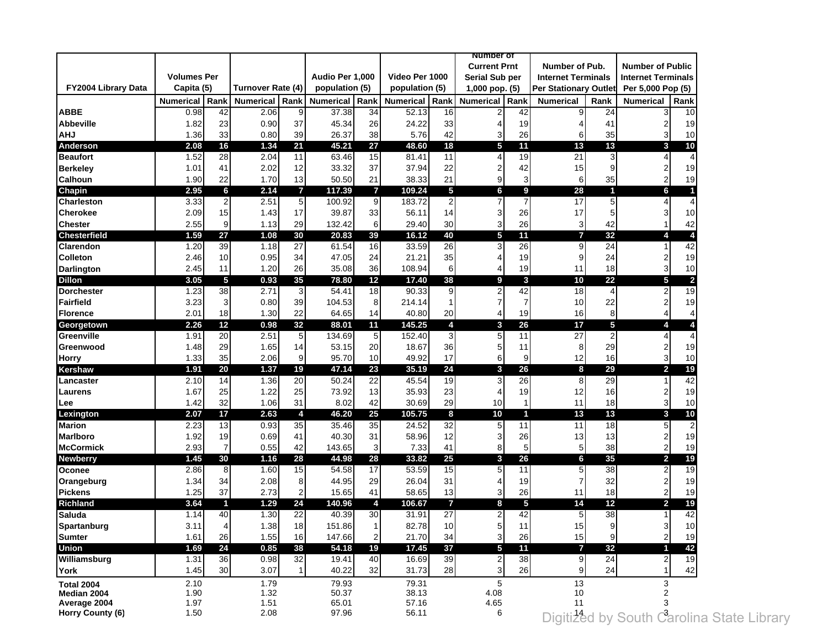|                     |                    |                |                   |                |                  |                         |                  |                | number of               |      |                              |                         |                                                        |      |
|---------------------|--------------------|----------------|-------------------|----------------|------------------|-------------------------|------------------|----------------|-------------------------|------|------------------------------|-------------------------|--------------------------------------------------------|------|
|                     |                    |                |                   |                |                  |                         |                  |                | <b>Current Prnt</b>     |      | Number of Pub.               |                         | <b>Number of Public</b>                                |      |
|                     | <b>Volumes Per</b> |                |                   |                | Audio Per 1,000  |                         | Video Per 1000   |                | Serial Sub per          |      | <b>Internet Terminals</b>    |                         | <b>Internet Terminals</b>                              |      |
| FY2004 Library Data | Capita (5)         |                | Turnover Rate (4) |                | population (5)   |                         | population (5)   |                | 1,000 pop. (5)          |      | <b>Per Stationary Outlet</b> |                         | Per 5,000 Pop (5)                                      |      |
|                     | <b>Numerical</b>   | Rank           | <b>Numerical</b>  | Rank           | <b>Numerical</b> | Rank                    | <b>Numerical</b> | Rank           | <b>Numerical</b>        | Rank | <b>Numerical</b>             | Rank                    | <b>Numerical</b>                                       | Rank |
| <b>ABBE</b>         | 0.98               | 42             | 2.06              | 9              | 37.38            | 34                      | 52.13            | 16             |                         | 42   |                              | 24                      |                                                        | 10   |
| <b>Abbeville</b>    | 1.82               | 23             | 0.90              | 37             | 45.34            | 26                      | 24.22            | 33             | $\overline{4}$          | 19   | 4                            | 41                      | 2                                                      | 19   |
| <b>AHJ</b>          | 1.36               | 33             | 0.80              | 39             | 26.37            | 38                      | 5.76             | 42             | 3                       | 26   | 6                            | 35                      | 3                                                      | 10   |
| <b>Anderson</b>     | 2.08               | 16             | 1.34              | 21             | 45.21            | 27                      | 48.60            | 18             | 5                       | 11   | 13                           | 13                      | 3                                                      | 10   |
| <b>Beaufort</b>     | 1.52               | 28             | 2.04              | 11             | 63.46            | 15                      | 81.41            | 11             | 4                       | 19   | 21                           | 3                       | $\overline{4}$                                         |      |
| <b>Berkeley</b>     | 1.01               | 41             | 2.02              | 12             | 33.32            | 37                      | 37.94            | 22             | $\overline{\mathbf{c}}$ | 42   | 15                           | g                       | $\overline{\mathbf{c}}$                                | 19   |
| <b>Calhoun</b>      | 1.90               | 22             | 1.70              | 13             | 50.50            | 21                      | 38.33            | 21             | 9                       | 3    | 6                            | 35                      | 2                                                      | 19   |
| Chapin              | 2.95               | 6              | 2.14              | $\overline{7}$ | 117.39           | $\overline{7}$          | 109.24           | $\overline{5}$ | 6                       | 9    | 28                           | $\overline{\mathbf{1}}$ | 6                                                      |      |
| Charleston          | 3.33               | $\overline{2}$ | 2.51              | 5 <sub>5</sub> | 100.92           | 9                       | 183.72           | $\overline{2}$ |                         |      | 17                           | 5                       | $\overline{4}$                                         |      |
| <b>Cherokee</b>     | 2.09               | 15             | 1.43              | 17             | 39.87            | 33                      | 56.11            | 14             | 3                       | 26   | 17                           | 5                       | 3                                                      | 10   |
| <b>Chester</b>      | 2.55               | 9              | 1.13              | 29             | 132.42           | 6                       | 29.40            | 30             | 3                       | 26   | 3                            | 42                      |                                                        | 42   |
| <b>Chesterfield</b> | 1.59               | 27             | 1.08              | 30             | 20.83            | 39                      | 16.12            | 40             | 5                       | 11   | $\overline{7}$               | 32                      | 4                                                      |      |
| Clarendon           | 1.20               | 39             | 1.18              | 27             | 61.54            | 16                      | 33.59            | 26             | 3                       | 26   | 9                            | 24                      | 1                                                      | 42   |
| <b>Colleton</b>     | 2.46               | 10             | 0.95              | 34             | 47.05            | 24                      | 21.21            | 35             | 4                       | 19   | 9                            | 24                      | $\overline{2}$                                         | 19   |
| <b>Darlington</b>   | 2.45               | 11             | 1.20              | 26             | 35.08            | 36                      | 108.94           | 6              | 4                       | 19   | 11                           | 18                      | 3                                                      | 10   |
| <b>Dillon</b>       | 3.05               | 5              | 0.93              | 35             | 78.80            | 12                      | 17.40            | 38             | 9                       | 3    | 10                           | 22                      | 5                                                      |      |
| <b>Dorchester</b>   | 1.23               | 38             | 2.71              | $\overline{3}$ | 54.41            | 18                      | 90.33            | 9              | $\overline{2}$          | 42   | 18                           | $\overline{4}$          | $\overline{c}$                                         | 19   |
| Fairfield           | 3.23               | 3 <sup>1</sup> | 0.80              | 39             | 104.53           | 8                       | 214.14           |                | $\overline{7}$          |      | 10                           | 22                      | $\overline{2}$                                         | 19   |
|                     |                    |                |                   |                |                  |                         |                  |                |                         |      |                              |                         |                                                        |      |
| Florence            | 2.01               | 18             | 1.30              | 22             | 64.65            | 14                      | 40.80            | 20<br>4        | $\overline{4}$          | 19   | 16                           | 8                       | 4                                                      |      |
| Georgetown          | 2.26               | 12             | 0.98              | 32             | 88.01            | 11                      | 145.25           |                | 3                       | 26   | 17                           | 5                       | 4                                                      |      |
| Greenville          | 1.91               | 20             | 2.51              | 5 <sub>5</sub> | 134.69           | $\mathbf 5$             | 152.40           | 3              | 5                       | 11   | 27                           | $\overline{2}$          | $\overline{4}$                                         |      |
| Greenwood           | 1.48               | 29             | 1.65              | 14             | 53.15            | 20                      | 18.67            | 36             | 5                       | 11   | 8                            | 29                      | 2                                                      | 19   |
| <b>Horry</b>        | 1.33               | 35             | 2.06              | 9              | 95.70            | 10                      | 49.92            | 17             | 6                       | 9    | 12                           | 16                      | 3                                                      | 10   |
| Kershaw             | 1.91               | 20             | 1.37              | 19             | 47.14            | 23                      | 35.19            | 24             | 3                       | 26   | 8                            | 29                      | $\overline{\mathbf{2}}$                                | 19   |
| Lancaster           | 2.10               | 14             | 1.36              | 20             | 50.24            | $\overline{22}$         | 45.54            | 19             | 3                       | 26   | 8                            | 29                      | 1                                                      | 42   |
| <b>Laurens</b>      | 1.67               | 25             | 1.22              | 25             | 73.92            | 13                      | 35.93            | 23             | 4                       | 19   | 12                           | 16                      | $\overline{\mathbf{c}}$                                | 19   |
| Lee                 | 1.42               | 32             | 1.06              | 31             | 8.02             | 42                      | 30.69            | 29             | 10                      |      | 11                           | 18                      | 3                                                      | 10   |
| Lexington           | 2.07               | 17             | 2.63              | 4              | 46.20            | 25                      | 105.75           | 8              | 10                      | -1   | 13                           | 13                      | 3                                                      | 10   |
| <b>Marion</b>       | 2.23               | 13             | 0.93              | 35             | 35.46            | 35                      | 24.52            | 32             | 5                       | 11   | 11                           | 18                      | 5                                                      |      |
| <b>Marlboro</b>     | 1.92               | 19             | 0.69              | 41             | 40.30            | 31                      | 58.96            | 12             | 3                       | 26   | 13                           | 13                      | $\overline{2}$                                         | 19   |
| <b>McCormick</b>    | 2.93               | $\overline{7}$ | 0.55              | 42             | 143.65           | 3                       | 7.33             | 41             | 8                       | 5    | 5                            | 38                      | 2                                                      | 19   |
| <b>Newberry</b>     | 1.45               | 30             | 1.16              | 28             | 44.98            | 28                      | 33.82            | 25             | 3                       | 26   | 6                            | 35                      | $\overline{\mathbf{2}}$                                | 19   |
| Oconee              | 2.86               | 8              | 1.60              | 15             | 54.58            | 17                      | 53.59            | 15             | 5                       | 11   | 5                            | 38                      | $\overline{2}$                                         | 19   |
| Orangeburg          | 1.34               | 34             | 2.08              | 8              | 44.95            | 29                      | 26.04            | 31             | 4                       | 19   | 7                            | 32                      | $\overline{2}$                                         | 19   |
| <b>Pickens</b>      | 1.25               | 37             | 2.73              | $\overline{2}$ | 15.65            | 41                      | 58.65            | 13             | 3                       | 26   | 11                           | 18                      | $\overline{2}$                                         | 19   |
| <b>Richland</b>     | 3.64               | 1              | 1.29              | 24             | 140.96           | 4                       | 106.67           | $\overline{7}$ | 8                       | 5    | 14                           | 12                      | $\overline{2}$                                         | 19   |
| <b>Saluda</b>       | 1.14               | 40             | 1.30              | 22             | 40.39            | 30                      | 31.91            | 27             | 2                       | 42   | 5                            | 38                      |                                                        | 42   |
| Spartanburg         | 3.11               | 4              | 1.38              | 18             | 151.86           | 1                       | 82.78            | 10             | 5                       | 11   | 15                           | 9                       | 3                                                      | 10   |
| <b>Sumter</b>       | 1.61               | 26             | 1.55              | 16             | 147.66           | $\overline{\mathbf{c}}$ | 21.70            | 34             | 3                       | 26   | 15                           | 9                       | $\mathbf 2$                                            | 19   |
| <b>Union</b>        | 1.69               | 24             | 0.85              | 38             | 54.18            | 19                      | 17.45            | 37             | 5                       | 11   | $\overline{7}$               | 32                      |                                                        | 42   |
| Williamsburg        | 1.31               | 36             | 0.98              | 32             | 19.41            | 40                      | 16.69            | 39             | $\overline{2}$          | 38   | 9                            | 24                      | $\overline{c}$                                         | 19   |
| York                | 1.45               | 30             | 3.07              | 1 <sup>1</sup> | 40.22            | 32                      | 31.73            | 28             | 3                       | 26   | 9                            | 24                      | 1                                                      | 42   |
| <b>Total 2004</b>   | 2.10               |                | 1.79              |                | 79.93            |                         | 79.31            |                | 5                       |      | 13                           |                         | 3                                                      |      |
| Median 2004         | 1.90               |                | 1.32              |                | 50.37            |                         | 38.13            |                | 4.08                    |      | 10                           |                         |                                                        |      |
| Average 2004        | 1.97               |                | 1.51              |                | 65.01            |                         | 57.16            |                | 4.65                    |      | 11                           |                         |                                                        |      |
| Horry County (6)    | 1.50               |                | 2.08              |                | 97.96            |                         | 56.11            |                | 6                       |      |                              |                         | Digiti <sup>1</sup> ed by South Carolina State Library |      |
|                     |                    |                |                   |                |                  |                         |                  |                |                         |      |                              |                         |                                                        |      |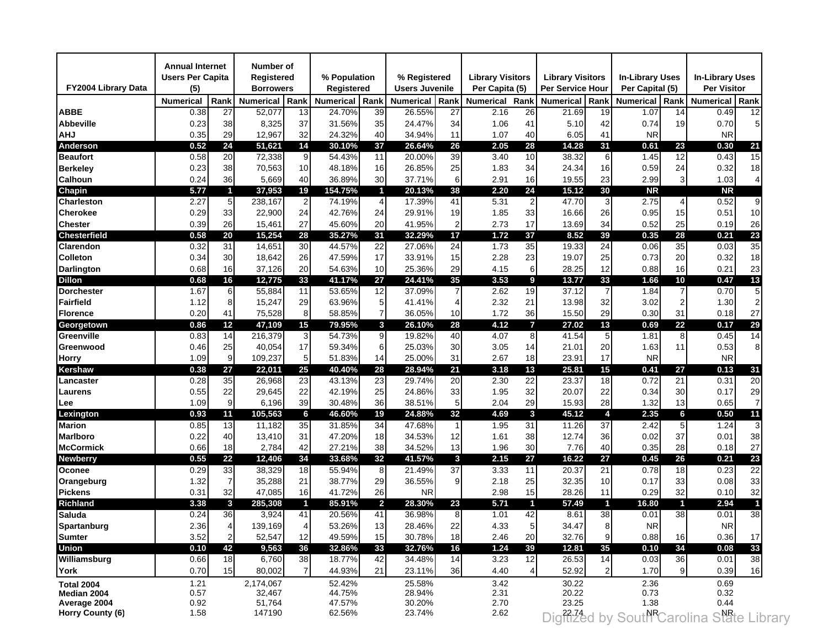| FY2004 Library Data | <b>Annual Internet</b><br><b>Users Per Capita</b><br>(5) |                 | Number of<br>Registered<br><b>Borrowers</b> |                | % Population<br>Registered |                  | % Registered<br><b>Users Juvenile</b> |          | <b>Library Visitors</b><br>Per Capita (5) |                | <b>Library Visitors</b><br><b>Per Service Hour</b> |                | <b>In-Library Uses</b><br>Per Capital (5) |                         | <b>In-Library Uses</b><br>Per Visitor    |                |
|---------------------|----------------------------------------------------------|-----------------|---------------------------------------------|----------------|----------------------------|------------------|---------------------------------------|----------|-------------------------------------------|----------------|----------------------------------------------------|----------------|-------------------------------------------|-------------------------|------------------------------------------|----------------|
|                     | <b>Numerical</b>                                         | Rank            | <b>Numerical</b>                            | Rank           | <b>Numerical</b>           | Rank             | <b>Numerical</b>                      | Rank     | <b>Numerical</b>                          | Rank           | <b>Numerical</b>                                   | Rank           | <b>Numerical</b>                          | Rank                    | <b>Numerical</b>                         | Rank           |
| <b>ABBE</b>         | 0.38                                                     | 27              | 52,077                                      | 13             | 24.70%                     | 39               | 26.55%                                | 27       | 2.16                                      | 26             | 21.69                                              | 19             | 1.07                                      | 14                      | 0.49                                     | 12             |
| <b>Abbeville</b>    | 0.23                                                     | 38              | 8,325                                       | 37             | 31.56%                     | 35               | 24.47%                                | 34       | 1.06                                      | 41             | 5.10                                               | 42             | 0.74                                      | 19                      | 0.70                                     | 5              |
| <b>AHJ</b>          | 0.35                                                     | 29              | 12,967                                      | 32             | 24.32%                     | 40               | 34.94%                                | 11       | 1.07                                      | 40             | 6.05                                               | 41             | <b>NR</b>                                 |                         | <b>NR</b>                                |                |
| Anderson            | 0.52                                                     | 24              | 51,621                                      | 14             | 30.10%                     | 37               | 26.64%                                | 26       | 2.05                                      | 28             | 14.28                                              | 31             | 0.61                                      | 23                      | 0.30                                     | 21             |
| <b>Beaufort</b>     | 0.58                                                     | 20              | 72,338                                      | 9              | 54.43%                     | 11               | 20.00%                                | 39       | 3.40                                      | 10             | 38.32                                              | 6              | 1.45                                      | 12                      | 0.43                                     | 15             |
| <b>Berkeley</b>     | 0.23                                                     | 38              | 70,563                                      | 10             | 48.18%                     | 16               | 26.85%                                | 25       | 1.83                                      | 34             | 24.34                                              | 16             | 0.59                                      | 24                      | 0.32                                     | 18             |
| <b>Calhoun</b>      | 0.24                                                     | 36              | 5,669                                       | 40             | 36.89%                     | 30               | 37.71%                                | 6        | 2.91                                      | 16             | 19.55                                              | 23             | 2.99                                      | 3                       | 1.03                                     | 4              |
| Chapin              | 5.77                                                     | $\mathbf{1}$    | 37,953                                      | 19             | 154.75%                    | 1                | 20.13%                                | 38       | 2.20                                      | 24             | 15.12                                              | 30             | <b>NR</b>                                 |                         | <b>NR</b>                                |                |
| Charleston          | 2.27                                                     | $5\phantom{.0}$ | 238,167                                     | $\overline{a}$ | 74.19%                     | 4                | 17.39%                                | 41       | 5.31                                      | $\mathbf{2}$   | 47.70                                              | 3              | 2.75                                      | 4                       | 0.52                                     | 9              |
| Cherokee            | 0.29                                                     | 33              | 22,900                                      | 24             | 42.76%                     | 24               | 29.91%                                | 19       | 1.85                                      | 33             | 16.66                                              | 26             | 0.95                                      | 15                      | 0.51                                     | 10             |
| <b>Chester</b>      | 0.39                                                     | 26              | 15,461                                      | 27             | 45.60%                     | 20               | 41.95%                                | 2        | 2.73                                      | 17             | 13.69                                              | 34             | 0.52                                      | 25                      | 0.19                                     | 26             |
| <b>Chesterfield</b> | 0.58                                                     | 20              | 15,254                                      | 28             | 35.27%                     | 31               | 32.29%                                | 17       | 1.72                                      | 37             | 8.52                                               | 39             | 0.35                                      | 28                      | 0.21                                     | 23             |
| Clarendon           | 0.32                                                     | 31              | 14,651                                      | 30             | 44.57%                     | 22               | 27.06%                                | 24       | 1.73                                      | 35             | 19.33                                              | 24             | 0.06                                      | 35                      | 0.03                                     | 35             |
| <b>Colleton</b>     | 0.34                                                     | 30              | 18,642                                      | 26             | 47.59%                     | 17               | 33.91%                                | 15       | 2.28                                      | 23             | 19.07                                              | 25             | 0.73                                      | 20                      | 0.32                                     | 18             |
| <b>Darlington</b>   | 0.68                                                     | 16              | 37,126                                      | 20             | 54.63%                     | 10               | 25.36%                                | 29       | 4.15                                      | 6              | 28.25                                              | 12             | 0.88                                      | 16                      | 0.21                                     | 23             |
| <b>Dillon</b>       | 0.68                                                     | 16              | 12,775                                      | 33             | 41.17%                     | 27               | 24.41%                                | 35       | 3.53                                      | 9              | 13.77                                              | 33             | 1.66                                      | 10                      | 0.47                                     | 13             |
| <b>Dorchester</b>   | 1.67                                                     | 6               | 55,884                                      | 11             | 53.65%                     | 12               | 37.09%                                |          | 2.62                                      | 19             | 37.12                                              | $\overline{7}$ | 1.84                                      | $\overline{7}$          | 0.70                                     | 5              |
| Fairfield           | 1.12                                                     | 8               | 15,247                                      | 29             | 63.96%                     | 5                | 41.41%                                |          | 2.32                                      | 21             | 13.98                                              | 32             | 3.02                                      | 2                       | 1.30                                     |                |
| <b>Florence</b>     | 0.20                                                     |                 | 75,528                                      | 8              | 58.85%                     | $\overline{7}$   |                                       |          | 1.72                                      | 36             | 15.50                                              | 29             | 0.30                                      | 31                      |                                          | 27             |
|                     | 0.86                                                     | 41<br>12        | 47,109                                      | 15             | 79.95%                     | 3                | 36.05%<br>26.10%                      | 10<br>28 | 4.12                                      | $\overline{7}$ | 27.02                                              | 13             | 0.69                                      | 22                      | 0.18<br>0.17                             | 29             |
| Georgetown          |                                                          |                 |                                             |                |                            |                  |                                       |          |                                           |                |                                                    |                |                                           |                         |                                          |                |
| Greenville          | 0.83                                                     | 14              | 216,379                                     | 3              | 54.73%                     | $\boldsymbol{9}$ | 19.82%                                | 40       | 4.07                                      | 8              | 41.54                                              | 5 <sup>1</sup> | 1.81                                      | 8                       | 0.45                                     | 14             |
| Greenwood           | 0.46                                                     | 25              | 40,054                                      | 17             | 59.34%                     | 6                | 25.03%                                | 30       | 3.05                                      | 14             | 21.01                                              | 20             | 1.63                                      | 11                      | 0.53                                     | 8              |
| Horry               | 1.09                                                     | 9               | 109,237                                     | 5 <sub>l</sub> | 51.83%                     | 14               | 25.00%                                | 31       | 2.67                                      | 18             | 23.91                                              | 17             | <b>NR</b>                                 |                         | <b>NR</b>                                |                |
| Kershaw             | 0.38                                                     | 27              | 22,011                                      | 25             | 40.40%                     | 28               | 28.94%                                | 21       | 3.18                                      | 13             | 25.81                                              | 15             | 0.41                                      | 27                      | 0.13                                     | 31             |
| Lancaster           | 0.28                                                     | 35              | 26,968                                      | 23             | 43.13%                     | 23               | 29.74%                                | 20       | 2.30                                      | 22             | 23.37                                              | 18             | 0.72                                      | 21                      | 0.31                                     | 20             |
| Laurens             | 0.55                                                     | 22              | 29,645                                      | 22             | 42.19%                     | 25               | 24.86%                                | 33       | 1.95                                      | 32             | 20.07                                              | 22             | 0.34                                      | 30                      | 0.17                                     | 29             |
| Lee                 | 1.09                                                     | 9               | 6,196                                       | 39             | 30.48%                     | 36               | 38.51%                                | 5        | 2.04                                      | 29             | 15.93                                              | 28             | 1.32                                      | 13                      | 0.65                                     | $\overline{7}$ |
| Lexington           | 0.93                                                     | 11              | 105,563                                     | 6              | 46.60%                     | 19               | 24.88%                                | 32       | 4.69                                      | $\mathbf{3}$   | 45.12                                              | 4              | 2.35                                      | 6                       | 0.50                                     | 11             |
| <b>Marion</b>       | 0.85                                                     | 13              | 11,182                                      | 35             | 31.85%                     | 34               | 47.68%                                |          | 1.95                                      | 31             | 11.26                                              | 37             | 2.42                                      | 5                       | 1.24                                     | 3              |
| <b>Marlboro</b>     | 0.22                                                     | 40              | 13,410                                      | 31             | 47.20%                     | 18               | 34.53%                                | 12       | 1.61                                      | 38             | 12.74                                              | 36             | 0.02                                      | 37                      | 0.01                                     | 38             |
| <b>McCormick</b>    | 0.66                                                     | 18              | 2,784                                       | 42             | 27.21%                     | 38               | 34.52%                                | 13       | 1.96                                      | 30             | 7.76                                               | 40             | 0.35                                      | 28                      | 0.18                                     | 27             |
| <b>Newberry</b>     | 0.55                                                     | 22              | 12,406                                      | 34             | 33.68%                     | 32               | 41.57%                                | 3        | 2.15                                      | 27             | 16.22                                              | 27             | 0.45                                      | 26                      | 0.21                                     | 23             |
| Oconee              | 0.29                                                     | 33              | 38,329                                      | 18             | 55.94%                     | 8                | 21.49%                                | 37       | 3.33                                      | 11             | 20.37                                              | 21             | 0.78                                      | 18                      | 0.23                                     | 22             |
| Orangeburg          | 1.32                                                     | $\overline{7}$  | 35,288                                      | 21             | 38.77%                     | 29               | 36.55%                                | 9        | 2.18                                      | 25             | 32.35                                              | 10             | 0.17                                      | 33                      | 0.08                                     | 33             |
| <b>Pickens</b>      | 0.31                                                     | 32              | 47,085                                      | 16             | 41.72%                     | 26               | <b>NR</b>                             |          | 2.98                                      | 15             | 28.26                                              | 11             | 0.29                                      | 32                      | 0.10                                     | 32             |
| <b>Richland</b>     | 3.38                                                     | 3               | 285,308                                     | $\blacksquare$ | 85.91%                     | $\overline{2}$   | 28.30%                                | 23       | 5.71                                      | $\mathbf{1}$   | 57.49                                              | $\blacksquare$ | 16.80                                     | $\overline{\mathbf{f}}$ | 2.94                                     |                |
| <b>Saluda</b>       | 0.24                                                     | 36              | 3,924                                       | 41             | 20.56%                     | 41               | 36.98%                                | 8        | 1.01                                      | 42             | 8.61                                               | 38             | 0.01                                      | 38                      | 0.01                                     | 38             |
| <b>Spartanburg</b>  | 2.36                                                     | 4               | 139,169                                     | 4              | 53.26%                     | 13               | 28.46%                                | 22       | 4.33                                      | $5 \mid$       | 34.47                                              | 8              | NR.                                       |                         | NR.                                      |                |
| <b>Sumter</b>       | 3.52                                                     | $\overline{2}$  | 52,547                                      | 12             | 49.59%                     | 15               | 30.78%                                | 18       | 2.46                                      | 20             | 32.76                                              | 9              | 0.88                                      | 16                      | 0.36                                     | 17             |
| <b>Union</b>        | 0.10                                                     | 42              | 9,563                                       | 36             | 32.86%                     | 33               | 32.76%                                | 16       | 1.24                                      | 39             | 12.81                                              | 35             | 0.10                                      | 34                      | 0.08                                     | 33             |
| Williamsburg        | 0.66                                                     | 18              | 6,760                                       | 38             | 18.77%                     | 42               | 34.48%                                | 14       | 3.23                                      | 12             | 26.53                                              | 14             | 0.03                                      | 36                      | 0.01                                     | 38             |
| York                | 0.70                                                     | 15              | 80,002                                      | $\overline{7}$ | 44.93%                     | 21               | 23.11%                                | 36       | 4.40                                      | 4              | 52.92                                              | $\overline{2}$ | 1.70                                      | 9                       | 0.39                                     | 16             |
| <b>Total 2004</b>   | 1.21                                                     |                 | 2,174,067                                   |                | 52.42%                     |                  | 25.58%                                |          | 3.42                                      |                | 30.22                                              |                | 2.36                                      |                         | 0.69                                     |                |
| Median 2004         | 0.57                                                     |                 | 32,467                                      |                | 44.75%                     |                  | 28.94%                                |          | 2.31                                      |                | 20.22                                              |                | 0.73                                      |                         | 0.32                                     |                |
| Average 2004        | 0.92                                                     |                 | 51,764                                      |                | 47.57%                     |                  | 30.20%                                |          | 2.70                                      |                | 23.25                                              |                | 1.38                                      |                         | 0.44                                     |                |
| Horry County (6)    | 1.58                                                     |                 | 147190                                      |                | 62.56%                     |                  | 23.74%                                |          | 2.62                                      |                |                                                    |                |                                           |                         | Dight2ed by South Carolina State Library |                |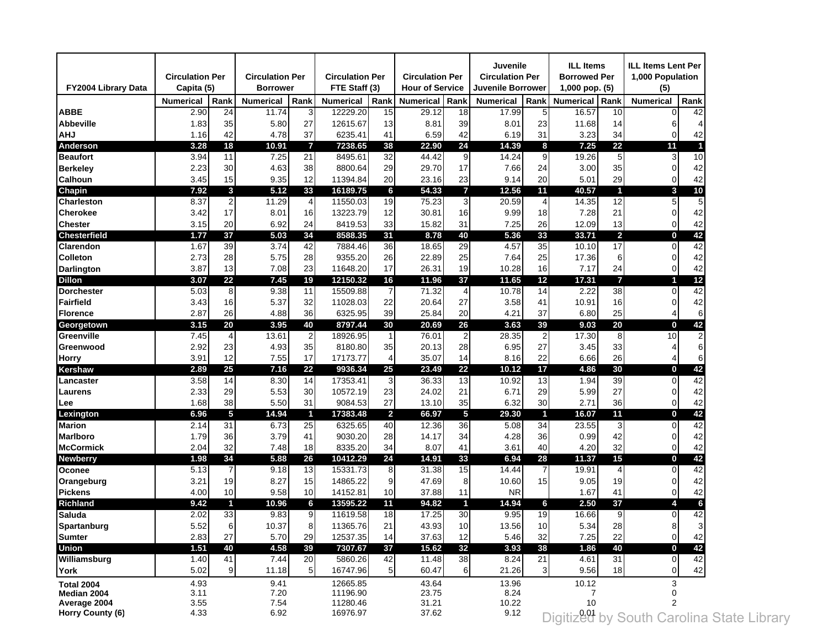| FY2004 Library Data | <b>Circulation Per</b><br>Capita (5) |                | <b>Circulation Per</b><br><b>Borrower</b> |                | <b>Circulation Per</b><br>FTE Staff (3) |                         | <b>Circulation Per</b><br><b>Hour of Service</b> |                | Juvenile<br><b>Circulation Per</b><br>Juvenile Borrower |                         | <b>ILL Items</b><br><b>Borrowed Per</b><br>$1,000$ pop. $(5)$ |                | <b>ILL Items Lent Per</b><br>1,000 Population<br>(5) |      |
|---------------------|--------------------------------------|----------------|-------------------------------------------|----------------|-----------------------------------------|-------------------------|--------------------------------------------------|----------------|---------------------------------------------------------|-------------------------|---------------------------------------------------------------|----------------|------------------------------------------------------|------|
|                     | <b>Numerical</b>                     | Rank           | <b>Numerical</b>                          | Rank           | <b>Numerical</b>                        | Rank                    | <b>Numerical</b>                                 | Rank           | <b>Numerical</b>                                        | Rank                    | <b>Numerical</b>                                              | Rank           | <b>Numerical</b>                                     | Rank |
| <b>ABBE</b>         | 2.90                                 | 24             | 11.74                                     | 3              | 12229.20                                | 15                      | 29.12                                            | 18             | 17.99                                                   | 5                       | 16.57                                                         | 10             |                                                      | 42   |
| <b>Abbeville</b>    | 1.83                                 | 35             | 5.80                                      | 27             | 12615.67                                | 13                      | 8.81                                             | 39             | 8.01                                                    | 23                      | 11.68                                                         | 14             | 6                                                    |      |
| <b>AHJ</b>          | 1.16                                 | 42             | 4.78                                      | 37             | 6235.41                                 | 41                      | 6.59                                             | 42             | 6.19                                                    | 31                      | 3.23                                                          | 34             | 0                                                    | 42   |
| Anderson            | 3.28                                 | 18             | 10.91                                     | $\overline{7}$ | 7238.65                                 | 38                      | 22.90                                            | 24             | 14.39                                                   | 8                       | 7.25                                                          | 22             | 11                                                   |      |
| <b>Beaufort</b>     | 3.94                                 | 11             | 7.25                                      | 21             | 8495.61                                 | 32                      | 44.42                                            | 9              | 14.24                                                   | 9                       | 19.26                                                         | 5 <sub>5</sub> | 3                                                    | 10   |
| <b>Berkeley</b>     | 2.23                                 | 30             | 4.63                                      | 38             | 8800.64                                 | 29                      | 29.70                                            | 17             | 7.66                                                    | 24                      | 3.00                                                          | 35             | 0                                                    | 42   |
| <b>Calhoun</b>      | 3.45                                 | 15             | 9.35                                      | 12             | 11394.84                                | 20                      | 23.16                                            | 23             | 9.14                                                    | 20                      | 5.01                                                          | 29             | $\overline{0}$                                       | 42   |
| Chapin              | 7.92                                 | $\mathbf{3}$   | 5.12                                      | 33             | 16189.75                                | 6                       | 54.33                                            | $\overline{7}$ | 12.56                                                   | 11                      | 40.57                                                         | $\mathbf{1}$   | 3                                                    | 10   |
| Charleston          | 8.37                                 | $\overline{2}$ | 11.29                                     | $\overline{4}$ | 11550.03                                | 19                      | 75.23                                            | 3              | 20.59                                                   | 4                       | 14.35                                                         | 12             | 5                                                    | 5    |
| <b>Cherokee</b>     | 3.42                                 | 17             | 8.01                                      | 16             | 13223.79                                | 12                      | 30.81                                            | 16             | 9.99                                                    | 18                      | 7.28                                                          | 21             | $\Omega$                                             | 42   |
| <b>Chester</b>      | 3.15                                 | 20             | 6.92                                      | 24             | 8419.53                                 | 33                      | 15.82                                            | 31             | 7.25                                                    | 26                      | 12.09                                                         | 13             | 0                                                    | 42   |
| <b>Chesterfield</b> | 1.77                                 | 37             | 5.03                                      | 34             | 8588.35                                 | 31                      | 8.78                                             | 40             | 5.36                                                    | 33                      | 33.71                                                         | $\overline{2}$ | 0                                                    | 42   |
| Clarendon           | 1.67                                 | 39             | 3.74                                      | 42             | 7884.46                                 | 36                      | 18.65                                            | 29             | 4.57                                                    | 35                      | 10.10                                                         | 17             | $\Omega$                                             | 42   |
| <b>Colleton</b>     | 2.73                                 | 28             | 5.75                                      | 28             | 9355.20                                 | 26                      | 22.89                                            | 25             | 7.64                                                    | 25                      | 17.36                                                         | 6              | $\Omega$                                             | 42   |
| <b>Darlington</b>   | 3.87                                 | 13             | 7.08                                      | 23             | 11648.20                                | 17                      | 26.31                                            | 19             | 10.28                                                   | 16                      | 7.17                                                          | 24             | $\Omega$                                             | 42   |
| <b>Dillon</b>       | 3.07                                 | 22             | 7.45                                      | 19             | 12150.32                                | 16                      | 11.96                                            | 37             | 11.65                                                   | 12                      | 17.31                                                         | $\overline{7}$ |                                                      | 12   |
| <b>Dorchester</b>   | 5.03                                 | 8              | 9.38                                      | 11             | 15509.88                                | $\overline{7}$          | 71.32                                            | $\overline{4}$ | 10.78                                                   | 14                      | 2.22                                                          | 38             | 0                                                    | 42   |
| Fairfield           | 3.43                                 | 16             | 5.37                                      | 32             | 11028.03                                | 22                      | 20.64                                            | 27             | 3.58                                                    | 41                      | 10.91                                                         | 16             | 0                                                    | 42   |
|                     |                                      |                | 4.88                                      | 36             | 6325.95                                 | 39                      | 25.84                                            | 20             | 4.21                                                    | 37                      | 6.80                                                          |                |                                                      | 6    |
| <b>Florence</b>     | 2.87<br>3.15                         | 26<br>20       | 3.95                                      | 40             | 8797.44                                 | 30                      | 20.69                                            | 26             | 3.63                                                    | 39                      | 9.03                                                          | 25<br>20       | 4                                                    | 42   |
| Georgetown          |                                      |                |                                           |                |                                         |                         |                                                  |                |                                                         |                         |                                                               |                | 0                                                    |      |
| Greenville          | 7.45                                 | $\overline{4}$ | 13.61                                     | $2 \mid$       | 18926.95                                | 1                       | 76.01                                            | $\overline{2}$ | 28.35                                                   | $\overline{2}$          | 17.30                                                         | 8              | 10                                                   |      |
| Greenwood           | 2.92                                 | 23             | 4.93                                      | 35             | 8180.80                                 | 35                      | 20.13                                            | 28             | 6.95                                                    | 27                      | 3.45                                                          | 33             | 4                                                    | 6    |
| Horry               | 3.91                                 | 12             | 7.55                                      | 17             | 17173.77                                | 4                       | 35.07                                            | 14             | 8.16                                                    | 22                      | 6.66                                                          | 26             | 4                                                    | 6    |
| Kershaw             | 2.89                                 | 25             | 7.16                                      | 22             | 9936.34                                 | 25                      | 23.49                                            | 22             | 10.12                                                   | 17                      | 4.86                                                          | 30             | 0                                                    | 42   |
| Lancaster           | 3.58                                 | 14             | 8.30                                      | 14             | 17353.41                                | 3                       | 36.33                                            | 13             | 10.92                                                   | 13                      | 1.94                                                          | 39             | $\overline{0}$                                       | 42   |
| Laurens             | 2.33                                 | 29             | 5.53                                      | 30             | 10572.19                                | 23                      | 24.02                                            | 21             | 6.71                                                    | 29                      | 5.99                                                          | 27             | 0                                                    | 42   |
| Lee                 | 1.68                                 | 38             | 5.50                                      | 31             | 9084.53                                 | 27                      | 13.10                                            | 35             | 6.32                                                    | 30                      | 2.71                                                          | 36             | 0                                                    | 42   |
| Lexington           | 6.96                                 | 5              | 14.94                                     | $\mathbf 1$    | 17383.48                                | $\overline{\mathbf{2}}$ | 66.97                                            | 5              | 29.30                                                   | $\overline{\mathbf{1}}$ | 16.07                                                         | 11             | 0                                                    | 42   |
| <b>Marion</b>       | 2.14                                 | 31             | 6.73                                      | 25             | 6325.65                                 | 40                      | 12.36                                            | 36             | 5.08                                                    | 34                      | 23.55                                                         | 3 <sup>1</sup> | $\overline{0}$                                       | 42   |
| <b>Marlboro</b>     | 1.79                                 | 36             | 3.79                                      | 41             | 9030.20                                 | 28                      | 14.17                                            | 34             | 4.28                                                    | 36                      | 0.99                                                          | 42             | 0                                                    | 42   |
| <b>McCormick</b>    | 2.04                                 | 32             | 7.48                                      | 18             | 8335.20                                 | 34                      | 8.07                                             | 41             | 3.61                                                    | 40                      | 4.20                                                          | 32             | 0                                                    | 42   |
| <b>Newberry</b>     | 1.98                                 | 34             | 5.88                                      | 26             | 10412.29                                | 24                      | 14.91                                            | 33             | 6.94                                                    | 28                      | 11.37                                                         | 15             | 0                                                    | 42   |
| Oconee              | 5.13                                 |                | 9.18                                      | 13             | 15331.73                                | 8                       | 31.38                                            | 15             | 14.44                                                   | 7                       | 19.91                                                         | $\overline{4}$ | 0                                                    | 42   |
| Orangeburg          | 3.21                                 | 19             | 8.27                                      | 15             | 14865.22                                | 9                       | 47.69                                            | 8              | 10.60                                                   | 15                      | 9.05                                                          | 19             | 0                                                    | 42   |
| <b>Pickens</b>      | 4.00                                 | 10             | 9.58                                      | 10             | 14152.81                                | 10                      | 37.88                                            | 11             | <b>NR</b>                                               |                         | 1.67                                                          | 41             | 0                                                    | 42   |
| Richland            | 9.42                                 | и              | 10.96                                     | 6              | 13595.22                                | 11                      | 94.82                                            | $\mathbf{1}$   | 14.94                                                   | 6                       | 2.50                                                          | 37             | 4                                                    | 6    |
| <b>Saluda</b>       | 2.02                                 | 33             | 9.83                                      | 9 <sub>l</sub> | 11619.58                                | 18                      | 17.25                                            | 30             | 9.95                                                    | 19                      | 16.66                                                         | 9              | $\overline{0}$                                       | 42   |
| <b>Spartanburg</b>  | 5.52                                 | 6              | 10.37                                     | 8              | 11365.76                                | 21                      | 43.93                                            | 10             | 13.56                                                   | 10                      | 5.34                                                          | 28             | 8                                                    |      |
| <b>Sumter</b>       | 2.83                                 | 27             | 5.70                                      | 29             | 12537.35                                | 14                      | 37.63                                            | 12             | 5.46                                                    | 32                      | 7.25                                                          | 22             | $\overline{0}$                                       | 42   |
| <b>Union</b>        | 1.51                                 | 40             | 4.58                                      | 39             | 7307.67                                 | 37                      | 15.62                                            | 32             | 3.93                                                    | 38                      | 1.86                                                          | 40             | 0                                                    | 42   |
| Williamsburg        | 1.40                                 | 41             | 7.44                                      | 20             | 5860.26                                 | 42                      | 11.48                                            | $38\,$         | 8.24                                                    | 21                      | 4.61                                                          | 31             | 0                                                    | 42   |
| York                | 5.02                                 | 9              | 11.18                                     | 5 <sub>l</sub> | 16747.96                                | 5                       | 60.47                                            | 6              | 21.26                                                   | 3                       | 9.56                                                          | 18             | 0                                                    | 42   |
| <b>Total 2004</b>   | 4.93                                 |                | 9.41                                      |                | 12665.85                                |                         | 43.64                                            |                | 13.96                                                   |                         | 10.12                                                         |                | 3                                                    |      |
| Median 2004         | 3.11                                 |                | 7.20                                      |                | 11196.90                                |                         | 23.75                                            |                | 8.24                                                    |                         |                                                               |                |                                                      |      |
| Average 2004        | 3.55                                 |                | 7.54                                      |                | 11280.46                                |                         | 31.21                                            |                | 10.22                                                   |                         | 10                                                            |                |                                                      |      |
| Horry County (6)    | 4.33                                 |                | 6.92                                      |                | 16976.97                                |                         | 37.62                                            |                | 9.12                                                    |                         |                                                               |                | Digitized by South Carolina State Library            |      |